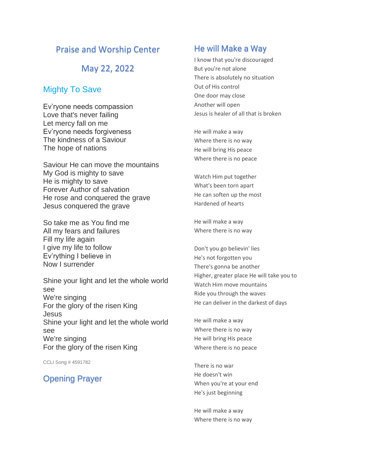# Praise and Worship Center

### May 22, 2022

#### Mighty To Save

Ev'ryone needs compassion Love that's never failing Let mercy fall on me Ev'ryone needs forgiveness The kindness of a Saviour The hope of nations

Saviour He can move the mountains My God is mighty to save He is mighty to save Forever Author of salvation He rose and conquered the grave Jesus conquered the grave

So take me as You find me All my fears and failures Fill my life again I give my life to follow Ev'rything I believe in Now I surrender

Shine your light and let the whole world see We're singing For the glory of the risen King Jesus Shine your light and let the whole world see We're singing For the glory of the risen King

CCLI Song # 4591782

# Opening Prayer

#### He will Make a Way

I know that you're discouraged But you're not alone There is absolutely no situation Out of His control One door may close Another will open Jesus is healer of all that is broken

He will make a way Where there is no way He will bring His peace Where there is no peace

Watch Him put together What's been torn apart He can soften up the most Hardened of hearts

He will make a way Where there is no way

Don't you go believin' lies He's not forgotten you There's gonna be another Higher, greater place He will take you to Watch Him move mountains Ride you through the waves He can deliver in the darkest of days

He will make a way Where there is no way He will bring His peace Where there is no peace

There is no war He doesn't win When you're at your end He's just beginning

He will make a way Where there is no way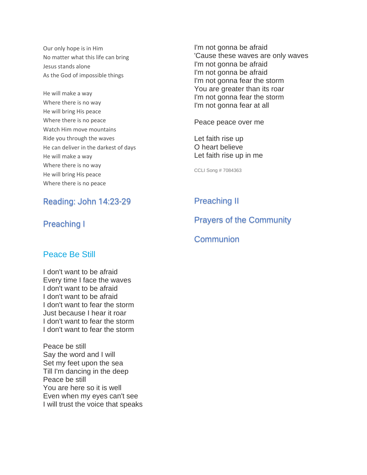Our only hope is in Him No matter what this life can bring Jesus stands alone As the God of impossible things

He will make a way Where there is no way He will bring His peace Where there is no peace Watch Him move mountains Ride you through the waves He can deliver in the darkest of days He will make a way Where there is no way He will bring His peace Where there is no peace

I'm not gonna be afraid 'Cause these waves are only waves I'm not gonna be afraid I'm not gonna be afraid I'm not gonna fear the storm You are greater than its roar I'm not gonna fear the storm I'm not gonna fear at all

Peace peace over me

Let faith rise up O heart believe Let faith rise up in me

CCLI Song # 7084363

# Reading: John 14:23-29

#### Preaching I

#### Peace Be Still

I don't want to be afraid Every time I face the waves I don't want to be afraid I don't want to be afraid I don't want to fear the storm Just because I hear it roar I don't want to fear the storm I don't want to fear the storm

Peace be still Say the word and I will Set my feet upon the sea Till I'm dancing in the deep Peace be still You are here so it is well Even when my eyes can't see I will trust the voice that speaks

# Preaching II

# Prayers of the Community

#### **Communion**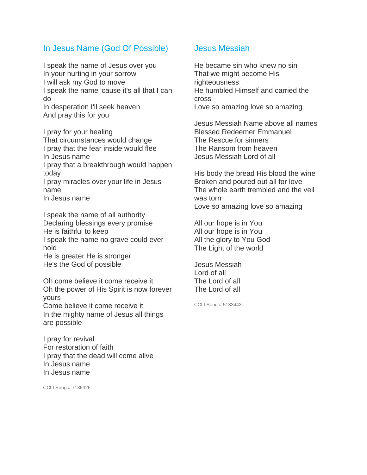#### In Jesus Name (God Of Possible)

I speak the name of Jesus over you In your hurting in your sorrow I will ask my God to move I speak the name 'cause it's all that I can do In desperation I'll seek heaven And pray this for you

I pray for your healing That circumstances would change I pray that the fear inside would flee In Jesus name I pray that a breakthrough would happen today I pray miracles over your life in Jesus name In Jesus name

I speak the name of all authority Declaring blessings every promise He is faithful to keep I speak the name no grave could ever hold He is greater He is stronger He's the God of possible

Oh come believe it come receive it Oh the power of His Spirit is now forever yours Come believe it come receive it

In the mighty name of Jesus all things are possible

I pray for revival For restoration of faith I pray that the dead will come alive In Jesus name In Jesus name

CCLI Song # 7186326

#### Jesus Messiah

He became sin who knew no sin That we might become His righteousness He humbled Himself and carried the cross Love so amazing love so amazing

Jesus Messiah Name above all names Blessed Redeemer Emmanuel The Rescue for sinners The Ransom from heaven Jesus Messiah Lord of all

His body the bread His blood the wine Broken and poured out all for love The whole earth trembled and the veil was torn Love so amazing love so amazing

All our hope is in You All our hope is in You All the glory to You God The Light of the world

Jesus Messiah Lord of all The Lord of all The Lord of all

CCLI Song # 5183443